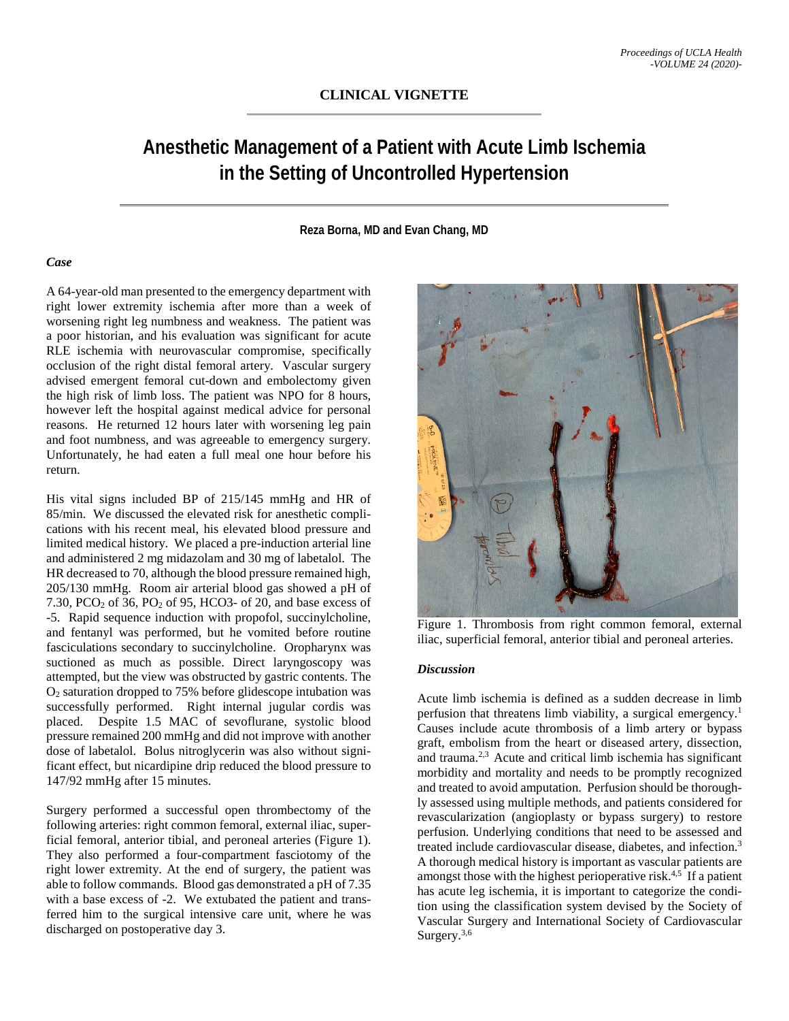## **Anesthetic Management of a Patient with Acute Limb Ischemia in the Setting of Uncontrolled Hypertension**

**Reza Borna, MD and Evan Chang, MD**

## *Case*

A 64-year-old man presented to the emergency department with right lower extremity ischemia after more than a week of worsening right leg numbness and weakness. The patient was a poor historian, and his evaluation was significant for acute RLE ischemia with neurovascular compromise, specifically occlusion of the right distal femoral artery. Vascular surgery advised emergent femoral cut-down and embolectomy given the high risk of limb loss. The patient was NPO for 8 hours, however left the hospital against medical advice for personal reasons. He returned 12 hours later with worsening leg pain and foot numbness, and was agreeable to emergency surgery. Unfortunately, he had eaten a full meal one hour before his return.

His vital signs included BP of 215/145 mmHg and HR of 85/min. We discussed the elevated risk for anesthetic complications with his recent meal, his elevated blood pressure and limited medical history. We placed a pre-induction arterial line and administered 2 mg midazolam and 30 mg of labetalol. The HR decreased to 70, although the blood pressure remained high, 205/130 mmHg. Room air arterial blood gas showed a pH of 7.30, PCO2 of 36, PO2 of 95, HCO3- of 20, and base excess of -5. Rapid sequence induction with propofol, succinylcholine, and fentanyl was performed, but he vomited before routine fasciculations secondary to succinylcholine. Oropharynx was suctioned as much as possible. Direct laryngoscopy was attempted, but the view was obstructed by gastric contents. The O2 saturation dropped to 75% before glidescope intubation was successfully performed. Right internal jugular cordis was placed. Despite 1.5 MAC of sevoflurane, systolic blood pressure remained 200 mmHg and did not improve with another dose of labetalol. Bolus nitroglycerin was also without significant effect, but nicardipine drip reduced the blood pressure to 147/92 mmHg after 15 minutes.

Surgery performed a successful open thrombectomy of the following arteries: right common femoral, external iliac, superficial femoral, anterior tibial, and peroneal arteries (Figure 1). They also performed a four-compartment fasciotomy of the right lower extremity. At the end of surgery, the patient was able to follow commands. Blood gas demonstrated a pH of 7.35 with a base excess of -2. We extubated the patient and transferred him to the surgical intensive care unit, where he was discharged on postoperative day 3.



Figure 1. Thrombosis from right common femoral, external iliac, superficial femoral, anterior tibial and peroneal arteries.

## *Discussion*

Acute limb ischemia is defined as a sudden decrease in limb perfusion that threatens limb viability, a surgical emergency.1 Causes include acute thrombosis of a limb artery or bypass graft, embolism from the heart or diseased artery, dissection, and trauma.2,3 Acute and critical limb ischemia has significant morbidity and mortality and needs to be promptly recognized and treated to avoid amputation. Perfusion should be thoroughly assessed using multiple methods, and patients considered for revascularization (angioplasty or bypass surgery) to restore perfusion. Underlying conditions that need to be assessed and treated include cardiovascular disease, diabetes, and infection.3 A thorough medical history is important as vascular patients are amongst those with the highest perioperative risk. $4,5$  If a patient has acute leg ischemia, it is important to categorize the condition using the classification system devised by the Society of Vascular Surgery and International Society of Cardiovascular Surgery.<sup>3,6</sup>